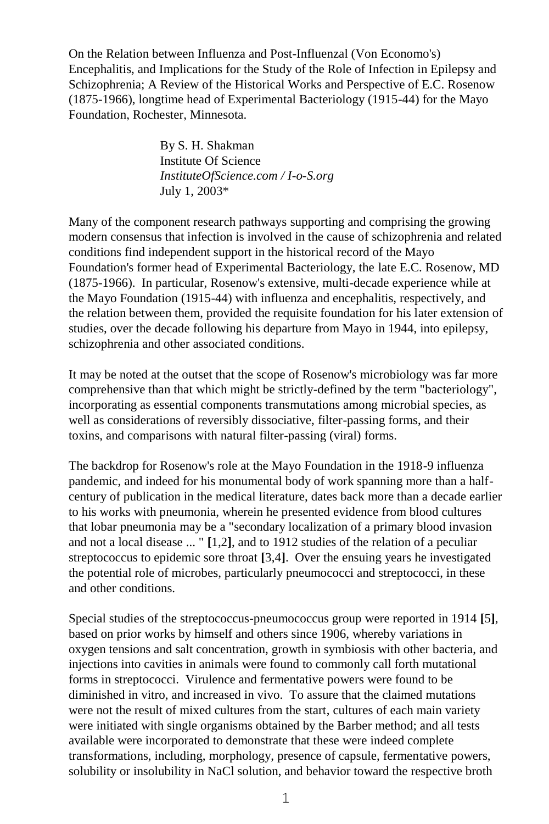On the Relation between Influenza and Post-Influenzal (Von Economo's) Encephalitis, and Implications for the Study of the Role of Infection in Epilepsy and Schizophrenia; A Review of the Historical Works and Perspective of E.C. Rosenow (1875-1966), longtime head of Experimental Bacteriology (1915-44) for the Mayo Foundation, Rochester, Minnesota.

> By S. H. Shakman Institute Of Science *InstituteOfScience.com / I-o-S.org* July 1, 2003\*

Many of the component research pathways supporting and comprising the growing modern consensus that infection is involved in the cause of schizophrenia and related conditions find independent support in the historical record of the Mayo Foundation's former head of Experimental Bacteriology, the late E.C. Rosenow, MD (1875-1966). In particular, Rosenow's extensive, multi-decade experience while at the Mayo Foundation (1915-44) with influenza and encephalitis, respectively, and the relation between them, provided the requisite foundation for his later extension of studies, over the decade following his departure from Mayo in 1944, into epilepsy, schizophrenia and other associated conditions.

It may be noted at the outset that the scope of Rosenow's microbiology was far more comprehensive than that which might be strictly-defined by the term "bacteriology", incorporating as essential components transmutations among microbial species, as well as considerations of reversibly dissociative, filter-passing forms, and their toxins, and comparisons with natural filter-passing (viral) forms.

The backdrop for Rosenow's role at the Mayo Foundation in the 1918-9 influenza pandemic, and indeed for his monumental body of work spanning more than a halfcentury of publication in the medical literature, dates back more than a decade earlier to his works with pneumonia, wherein he presented evidence from blood cultures that lobar pneumonia may be a "secondary localization of a primary blood invasion and not a local disease ... " **[**1,2**]**, and to 1912 studies of the relation of a peculiar streptococcus to epidemic sore throat **[**3,4**]**. Over the ensuing years he investigated the potential role of microbes, particularly pneumococci and streptococci, in these and other conditions.

Special studies of the streptococcus-pneumococcus group were reported in 1914 **[**5**]**, based on prior works by himself and others since 1906, whereby variations in oxygen tensions and salt concentration, growth in symbiosis with other bacteria, and injections into cavities in animals were found to commonly call forth mutational forms in streptococci. Virulence and fermentative powers were found to be diminished in vitro, and increased in vivo. To assure that the claimed mutations were not the result of mixed cultures from the start, cultures of each main variety were initiated with single organisms obtained by the Barber method; and all tests available were incorporated to demonstrate that these were indeed complete transformations, including, morphology, presence of capsule, fermentative powers, solubility or insolubility in NaCl solution, and behavior toward the respective broth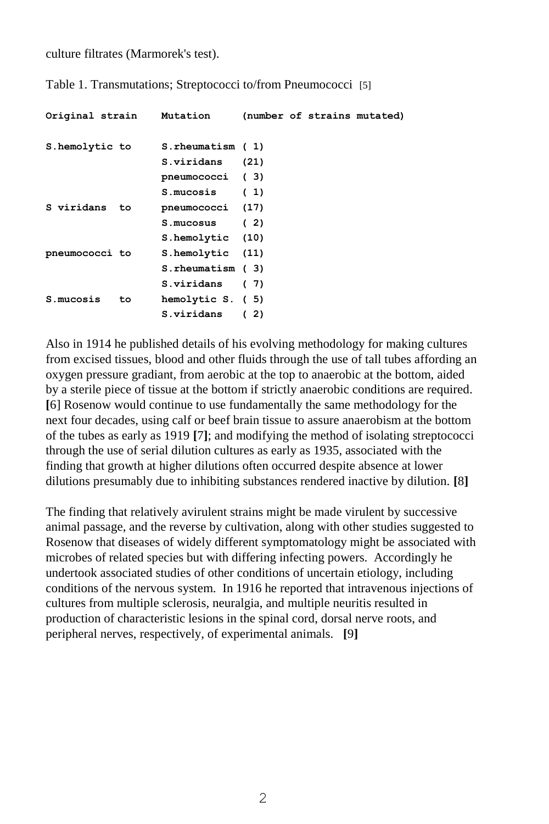culture filtrates (Marmorek's test).

Table 1. Transmutations; Streptococci to/from Pneumococci [5]

| Original strain Mutation |     |                  |      |  | (number of strains mutated) |
|--------------------------|-----|------------------|------|--|-----------------------------|
| S.hemolytic to           |     | S.rheumatism (1) |      |  |                             |
|                          |     | S.viridans       | (21) |  |                             |
|                          |     | pneumococci (3)  |      |  |                             |
|                          |     | S.mucosis        | (1)  |  |                             |
| S viridans to            |     | pneumococci (17) |      |  |                             |
|                          |     | $S.mucosus$ (2)  |      |  |                             |
|                          |     | S.hemolytic (10) |      |  |                             |
| pneumococci to           |     | S.hemolytic (11) |      |  |                             |
|                          |     | S.rheumatism (3) |      |  |                             |
|                          |     | S.viridans       | (7)  |  |                             |
| S.mucosis                | to. | hemolytic S. (5) |      |  |                             |
|                          |     | S.viridans       | (2)  |  |                             |

Also in 1914 he published details of his evolving methodology for making cultures from excised tissues, blood and other fluids through the use of tall tubes affording an oxygen pressure gradiant, from aerobic at the top to anaerobic at the bottom, aided by a sterile piece of tissue at the bottom if strictly anaerobic conditions are required. **[**6] Rosenow would continue to use fundamentally the same methodology for the next four decades, using calf or beef brain tissue to assure anaerobism at the bottom of the tubes as early as 1919 **[**7**]**; and modifying the method of isolating streptococci through the use of serial dilution cultures as early as 1935, associated with the finding that growth at higher dilutions often occurred despite absence at lower dilutions presumably due to inhibiting substances rendered inactive by dilution. **[**8**]**

The finding that relatively avirulent strains might be made virulent by successive animal passage, and the reverse by cultivation, along with other studies suggested to Rosenow that diseases of widely different symptomatology might be associated with microbes of related species but with differing infecting powers. Accordingly he undertook associated studies of other conditions of uncertain etiology, including conditions of the nervous system. In 1916 he reported that intravenous injections of cultures from multiple sclerosis, neuralgia, and multiple neuritis resulted in production of characteristic lesions in the spinal cord, dorsal nerve roots, and peripheral nerves, respectively, of experimental animals. **[**9**]**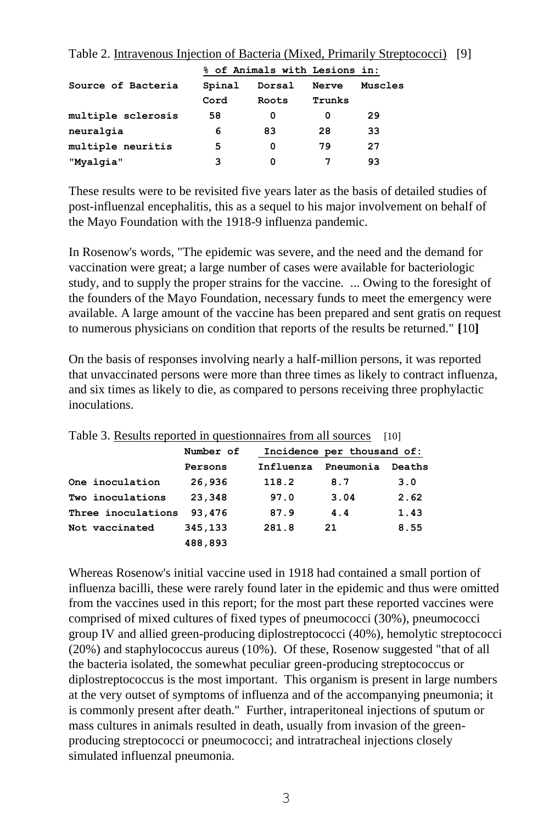|                    |        | % of Animals with Lesions in: |        |         |
|--------------------|--------|-------------------------------|--------|---------|
| Source of Bacteria | Spinal | Dorsal                        | Nerve  | Muscles |
|                    | Cord   | Roots                         | Trunks |         |
| multiple sclerosis | 58     | 0                             | 0      | 29      |
| neuralgia          | 6      | 83                            | 28     | 33      |
| multiple neuritis  | 5      | O                             | 79     | 27      |
| "Myalqia"          | з      | O                             |        | 93      |

Table 2. Intravenous Injection of Bacteria (Mixed, Primarily Streptococci) [9]

These results were to be revisited five years later as the basis of detailed studies of post-influenzal encephalitis, this as a sequel to his major involvement on behalf of the Mayo Foundation with the 1918-9 influenza pandemic.

In Rosenow's words, "The epidemic was severe, and the need and the demand for vaccination were great; a large number of cases were available for bacteriologic study, and to supply the proper strains for the vaccine. ... Owing to the foresight of the founders of the Mayo Foundation, necessary funds to meet the emergency were available. A large amount of the vaccine has been prepared and sent gratis on request to numerous physicians on condition that reports of the results be returned." **[**10**]**

On the basis of responses involving nearly a half-million persons, it was reported that unvaccinated persons were more than three times as likely to contract influenza, and six times as likely to die, as compared to persons receiving three prophylactic inoculations.

| Twore of recognition replacement specification in an all complete |           |                            |           |        |  |  |
|-------------------------------------------------------------------|-----------|----------------------------|-----------|--------|--|--|
|                                                                   | Number of | Incidence per thousand of: |           |        |  |  |
|                                                                   | Persons   | Influenza                  | Pneumonia | Deaths |  |  |
| One inoculation                                                   | 26,936    | 118.2                      | 8.7       | 3.0    |  |  |
| Two inoculations                                                  | 23,348    | 97.0                       | 3.04      | 2.62   |  |  |
| Three inoculations                                                | 93,476    | 87.9                       | 4.4       | 1.43   |  |  |
| Not vaccinated                                                    | 345,133   | 281.8                      | 21        | 8.55   |  |  |
|                                                                   | 488,893   |                            |           |        |  |  |

Table 3. Results reported in questionnaires from all sources [10]

Whereas Rosenow's initial vaccine used in 1918 had contained a small portion of influenza bacilli, these were rarely found later in the epidemic and thus were omitted from the vaccines used in this report; for the most part these reported vaccines were comprised of mixed cultures of fixed types of pneumococci (30%), pneumococci group IV and allied green-producing diplostreptococci (40%), hemolytic streptococci (20%) and staphylococcus aureus (10%). Of these, Rosenow suggested "that of all the bacteria isolated, the somewhat peculiar green-producing streptococcus or diplostreptococcus is the most important. This organism is present in large numbers at the very outset of symptoms of influenza and of the accompanying pneumonia; it is commonly present after death." Further, intraperitoneal injections of sputum or mass cultures in animals resulted in death, usually from invasion of the greenproducing streptococci or pneumococci; and intratracheal injections closely simulated influenzal pneumonia.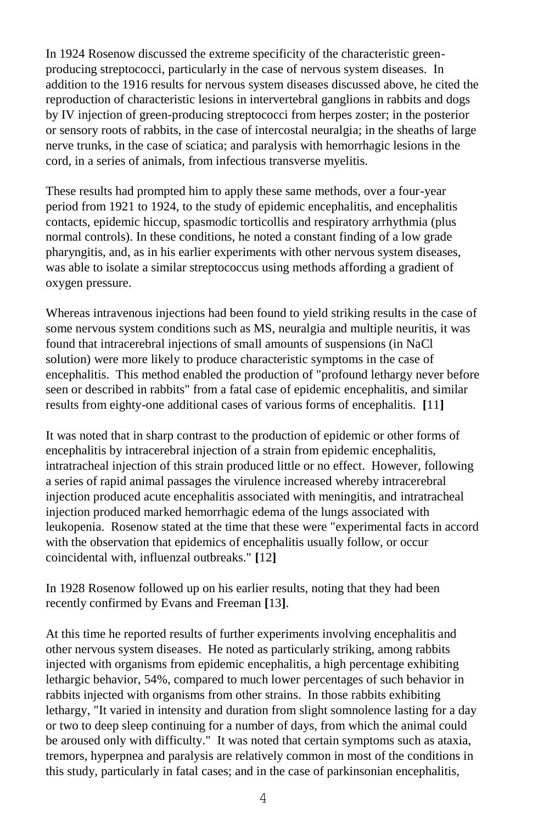In 1924 Rosenow discussed the extreme specificity of the characteristic greenproducing streptococci, particularly in the case of nervous system diseases. In addition to the 1916 results for nervous system diseases discussed above, he cited the reproduction of characteristic lesions in intervertebral ganglions in rabbits and dogs by IV injection of green-producing streptococci from herpes zoster; in the posterior or sensory roots of rabbits, in the case of intercostal neuralgia; in the sheaths of large nerve trunks, in the case of sciatica; and paralysis with hemorrhagic lesions in the cord, in a series of animals, from infectious transverse myelitis.

These results had prompted him to apply these same methods, over a four-year period from 1921 to 1924, to the study of epidemic encephalitis, and encephalitis contacts, epidemic hiccup, spasmodic torticollis and respiratory arrhythmia (plus normal controls). In these conditions, he noted a constant finding of a low grade pharyngitis, and, as in his earlier experiments with other nervous system diseases, was able to isolate a similar streptococcus using methods affording a gradient of oxygen pressure.

Whereas intravenous injections had been found to yield striking results in the case of some nervous system conditions such as MS, neuralgia and multiple neuritis, it was found that intracerebral injections of small amounts of suspensions (in NaCl solution) were more likely to produce characteristic symptoms in the case of encephalitis. This method enabled the production of "profound lethargy never before seen or described in rabbits" from a fatal case of epidemic encephalitis, and similar results from eighty-one additional cases of various forms of encephalitis. **[**11**]**

It was noted that in sharp contrast to the production of epidemic or other forms of encephalitis by intracerebral injection of a strain from epidemic encephalitis, intratracheal injection of this strain produced little or no effect. However, following a series of rapid animal passages the virulence increased whereby intracerebral injection produced acute encephalitis associated with meningitis, and intratracheal injection produced marked hemorrhagic edema of the lungs associated with leukopenia. Rosenow stated at the time that these were "experimental facts in accord with the observation that epidemics of encephalitis usually follow, or occur coincidental with, influenzal outbreaks." **[**12**]**

In 1928 Rosenow followed up on his earlier results, noting that they had been recently confirmed by Evans and Freeman **[**13**]**.

At this time he reported results of further experiments involving encephalitis and other nervous system diseases. He noted as particularly striking, among rabbits injected with organisms from epidemic encephalitis, a high percentage exhibiting lethargic behavior, 54%, compared to much lower percentages of such behavior in rabbits injected with organisms from other strains. In those rabbits exhibiting lethargy, "It varied in intensity and duration from slight somnolence lasting for a day or two to deep sleep continuing for a number of days, from which the animal could be aroused only with difficulty." It was noted that certain symptoms such as ataxia, tremors, hyperpnea and paralysis are relatively common in most of the conditions in this study, particularly in fatal cases; and in the case of parkinsonian encephalitis,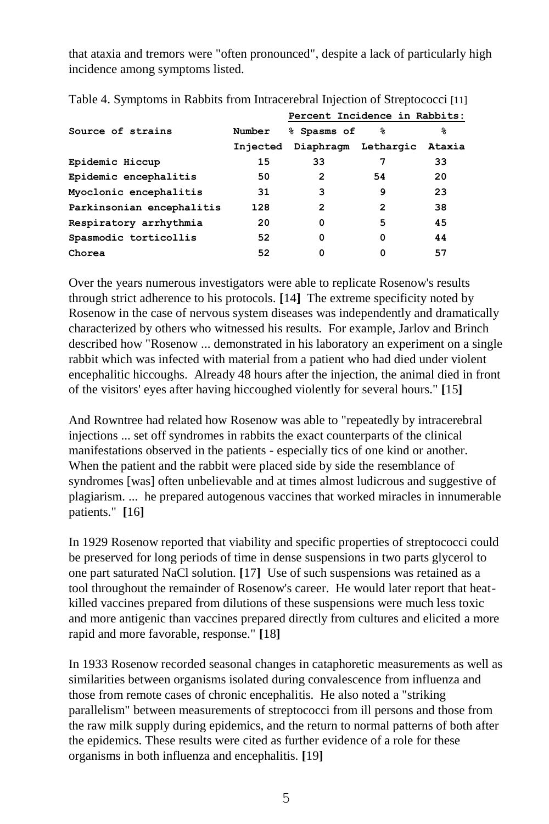that ataxia and tremors were "often pronounced", despite a lack of particularly high incidence among symptoms listed.

|                           |          | Percent Incidence in Rabbits: |    |        |
|---------------------------|----------|-------------------------------|----|--------|
| Source of strains         | Number   | % Spasms of                   | ℁  | ℁      |
|                           | Injected | Diaphragm Lethargic           |    | Ataxia |
| Epidemic Hiccup           | 15       | 33                            |    | 33     |
| Epidemic encephalitis     | 50       | 2                             | 54 | 20     |
| Myoclonic encephalitis    | 31       | 3                             | 9  | 23     |
| Parkinsonian encephalitis | 128      | 2                             | 2  | 38     |
| Respiratory arrhythmia    | 20       | 0                             | 5  | 45     |
| Spasmodic torticollis     | 52       | 0                             | 0  | 44     |
| Chorea                    | 52       | 0                             | O  | 57     |

Table 4. Symptoms in Rabbits from Intracerebral Injection of Streptococci [11]

Over the years numerous investigators were able to replicate Rosenow's results through strict adherence to his protocols. **[**14**]** The extreme specificity noted by Rosenow in the case of nervous system diseases was independently and dramatically characterized by others who witnessed his results. For example, Jarlov and Brinch described how "Rosenow ... demonstrated in his laboratory an experiment on a single rabbit which was infected with material from a patient who had died under violent encephalitic hiccoughs. Already 48 hours after the injection, the animal died in front of the visitors' eyes after having hiccoughed violently for several hours." **[**15**]**

And Rowntree had related how Rosenow was able to "repeatedly by intracerebral injections ... set off syndromes in rabbits the exact counterparts of the clinical manifestations observed in the patients - especially tics of one kind or another. When the patient and the rabbit were placed side by side the resemblance of syndromes [was] often unbelievable and at times almost ludicrous and suggestive of plagiarism. ... he prepared autogenous vaccines that worked miracles in innumerable patients." **[**16**]**

In 1929 Rosenow reported that viability and specific properties of streptococci could be preserved for long periods of time in dense suspensions in two parts glycerol to one part saturated NaCl solution. **[**17**]** Use of such suspensions was retained as a tool throughout the remainder of Rosenow's career. He would later report that heatkilled vaccines prepared from dilutions of these suspensions were much less toxic and more antigenic than vaccines prepared directly from cultures and elicited a more rapid and more favorable, response." **[**18**]**

In 1933 Rosenow recorded seasonal changes in cataphoretic measurements as well as similarities between organisms isolated during convalescence from influenza and those from remote cases of chronic encephalitis. He also noted a "striking parallelism" between measurements of streptococci from ill persons and those from the raw milk supply during epidemics, and the return to normal patterns of both after the epidemics. These results were cited as further evidence of a role for these organisms in both influenza and encephalitis. **[**19**]**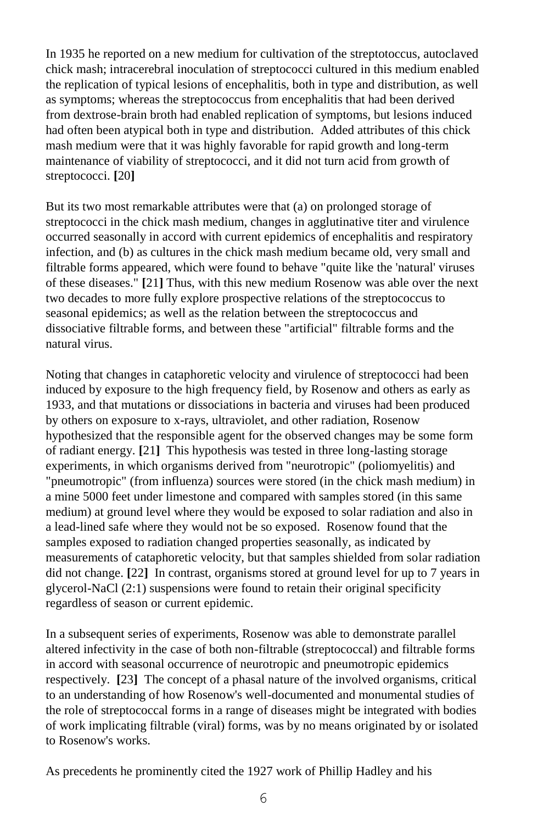In 1935 he reported on a new medium for cultivation of the streptotoccus, autoclaved chick mash; intracerebral inoculation of streptococci cultured in this medium enabled the replication of typical lesions of encephalitis, both in type and distribution, as well as symptoms; whereas the streptococcus from encephalitis that had been derived from dextrose-brain broth had enabled replication of symptoms, but lesions induced had often been atypical both in type and distribution. Added attributes of this chick mash medium were that it was highly favorable for rapid growth and long-term maintenance of viability of streptococci, and it did not turn acid from growth of streptococci. **[**20**]**

But its two most remarkable attributes were that (a) on prolonged storage of streptococci in the chick mash medium, changes in agglutinative titer and virulence occurred seasonally in accord with current epidemics of encephalitis and respiratory infection, and (b) as cultures in the chick mash medium became old, very small and filtrable forms appeared, which were found to behave "quite like the 'natural' viruses of these diseases." **[**21**]** Thus, with this new medium Rosenow was able over the next two decades to more fully explore prospective relations of the streptococcus to seasonal epidemics; as well as the relation between the streptococcus and dissociative filtrable forms, and between these "artificial" filtrable forms and the natural virus.

Noting that changes in cataphoretic velocity and virulence of streptococci had been induced by exposure to the high frequency field, by Rosenow and others as early as 1933, and that mutations or dissociations in bacteria and viruses had been produced by others on exposure to x-rays, ultraviolet, and other radiation, Rosenow hypothesized that the responsible agent for the observed changes may be some form of radiant energy. **[**21**]** This hypothesis was tested in three long-lasting storage experiments, in which organisms derived from "neurotropic" (poliomyelitis) and "pneumotropic" (from influenza) sources were stored (in the chick mash medium) in a mine 5000 feet under limestone and compared with samples stored (in this same medium) at ground level where they would be exposed to solar radiation and also in a lead-lined safe where they would not be so exposed. Rosenow found that the samples exposed to radiation changed properties seasonally, as indicated by measurements of cataphoretic velocity, but that samples shielded from solar radiation did not change. **[**22**]** In contrast, organisms stored at ground level for up to 7 years in glycerol-NaCl (2:1) suspensions were found to retain their original specificity regardless of season or current epidemic.

In a subsequent series of experiments, Rosenow was able to demonstrate parallel altered infectivity in the case of both non-filtrable (streptococcal) and filtrable forms in accord with seasonal occurrence of neurotropic and pneumotropic epidemics respectively. **[**23**]** The concept of a phasal nature of the involved organisms, critical to an understanding of how Rosenow's well-documented and monumental studies of the role of streptococcal forms in a range of diseases might be integrated with bodies of work implicating filtrable (viral) forms, was by no means originated by or isolated to Rosenow's works.

As precedents he prominently cited the 1927 work of Phillip Hadley and his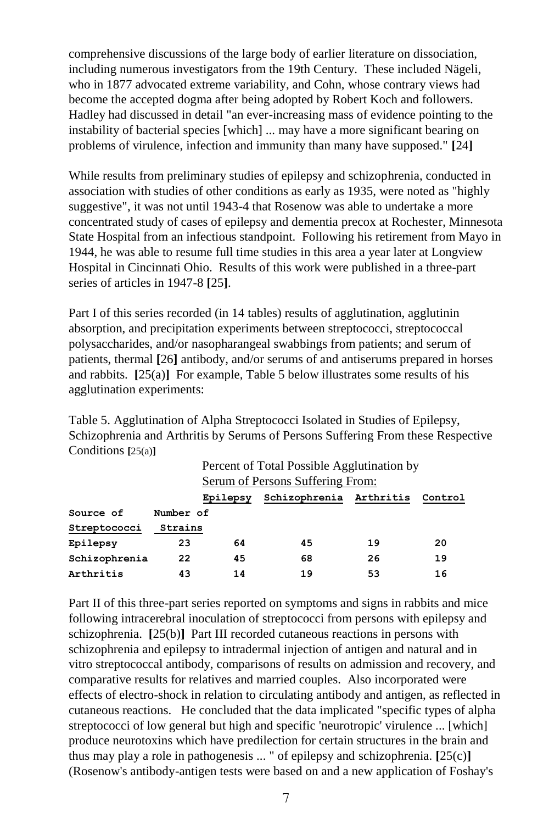comprehensive discussions of the large body of earlier literature on dissociation, including numerous investigators from the 19th Century. These included Nägeli, who in 1877 advocated extreme variability, and Cohn, whose contrary views had become the accepted dogma after being adopted by Robert Koch and followers. Hadley had discussed in detail "an ever-increasing mass of evidence pointing to the instability of bacterial species [which] ... may have a more significant bearing on problems of virulence, infection and immunity than many have supposed." **[**24**]**

While results from preliminary studies of epilepsy and schizophrenia, conducted in association with studies of other conditions as early as 1935, were noted as "highly suggestive", it was not until 1943-4 that Rosenow was able to undertake a more concentrated study of cases of epilepsy and dementia precox at Rochester, Minnesota State Hospital from an infectious standpoint. Following his retirement from Mayo in 1944, he was able to resume full time studies in this area a year later at Longview Hospital in Cincinnati Ohio. Results of this work were published in a three-part series of articles in 1947-8 **[**25**]**.

Part I of this series recorded (in 14 tables) results of agglutination, agglutinin absorption, and precipitation experiments between streptococci, streptococcal polysaccharides, and/or nasopharangeal swabbings from patients; and serum of patients, thermal **[**26**]** antibody, and/or serums of and antiserums prepared in horses and rabbits. **[**25(a)**]** For example, Table 5 below illustrates some results of his agglutination experiments:

Table 5. Agglutination of Alpha Streptococci Isolated in Studies of Epilepsy, Schizophrenia and Arthritis by Serums of Persons Suffering From these Respective Conditions **[**25(a)**]**

|               |           | Percent of Total Possible Agglutination by<br><b>Serum of Persons Suffering From:</b> |                         |    |         |  |
|---------------|-----------|---------------------------------------------------------------------------------------|-------------------------|----|---------|--|
|               |           |                                                                                       |                         |    |         |  |
|               |           | Epilepsy                                                                              | Schizophrenia Arthritis |    | Control |  |
| Source of     | Number of |                                                                                       |                         |    |         |  |
| Streptococci  | Strains   |                                                                                       |                         |    |         |  |
| Epilepsy      | 23        | 64                                                                                    | 45                      | 19 | 20      |  |
| Schizophrenia | 22        | 45                                                                                    | 68                      | 26 | 19      |  |
| Arthritis     | 43        | 14                                                                                    | 19                      | 53 | 16      |  |

Part II of this three-part series reported on symptoms and signs in rabbits and mice following intracerebral inoculation of streptococci from persons with epilepsy and schizophrenia. **[**25(b)**]** Part III recorded cutaneous reactions in persons with schizophrenia and epilepsy to intradermal injection of antigen and natural and in vitro streptococcal antibody, comparisons of results on admission and recovery, and comparative results for relatives and married couples. Also incorporated were effects of electro-shock in relation to circulating antibody and antigen, as reflected in cutaneous reactions. He concluded that the data implicated "specific types of alpha streptococci of low general but high and specific 'neurotropic' virulence ... [which] produce neurotoxins which have predilection for certain structures in the brain and thus may play a role in pathogenesis ... " of epilepsy and schizophrenia. **[**25(c)**]** (Rosenow's antibody-antigen tests were based on and a new application of Foshay's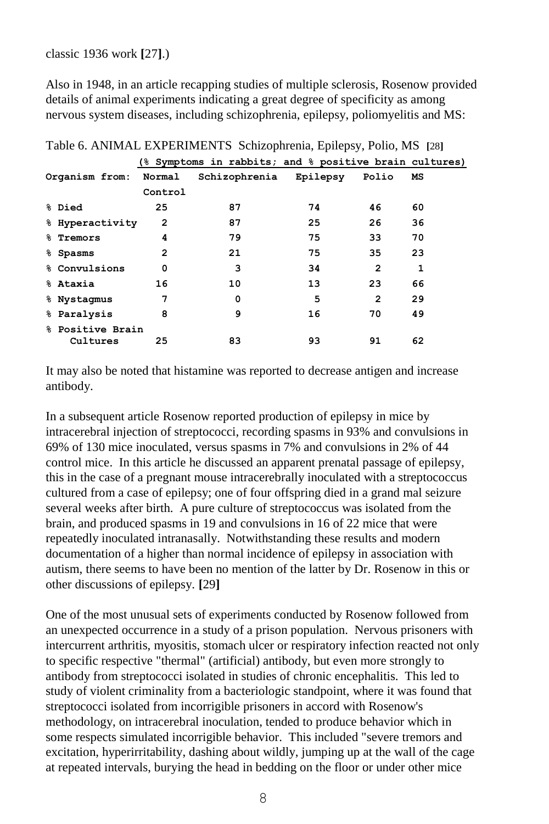classic 1936 work **[**27**]**.)

Also in 1948, in an article recapping studies of multiple sclerosis, Rosenow provided details of animal experiments indicating a great degree of specificity as among nervous system diseases, including schizophrenia, epilepsy, poliomyelitis and MS:

|                  |              | (% Symptoms in rabbits; and % positive brain cultures) |          |       |    |
|------------------|--------------|--------------------------------------------------------|----------|-------|----|
| Organism from:   | Normal       | Schizophrenia                                          | Epilepsy | Polio | MS |
|                  | Control      |                                                        |          |       |    |
| % Died           | 25           | 87                                                     | 74       | 46    | 60 |
| % Hyperactivity  | $\mathbf{2}$ | 87                                                     | 25       | 26    | 36 |
| % Tremors        | 4            | 79                                                     | 75       | 33    | 70 |
| % Spasms         | $\mathbf{2}$ | 21                                                     | 75       | 35    | 23 |
| % Convulsions    | 0            | 3                                                      | 34       | 2     | 1  |
| % Ataxia         | 16           | 10                                                     | 13       | 23    | 66 |
| % Nystagmus      | 7            | 0                                                      | 5        | 2     | 29 |
| % Paralysis      | 8            | 9                                                      | 16       | 70    | 49 |
| % Positive Brain |              |                                                        |          |       |    |
| Cultures         | 25           | 83                                                     | 93       | 91    | 62 |

Table 6. ANIMAL EXPERIMENTS Schizophrenia, Epilepsy, Polio, MS **[**28**]**

It may also be noted that histamine was reported to decrease antigen and increase antibody.

In a subsequent article Rosenow reported production of epilepsy in mice by intracerebral injection of streptococci, recording spasms in 93% and convulsions in 69% of 130 mice inoculated, versus spasms in 7% and convulsions in 2% of 44 control mice. In this article he discussed an apparent prenatal passage of epilepsy, this in the case of a pregnant mouse intracerebrally inoculated with a streptococcus cultured from a case of epilepsy; one of four offspring died in a grand mal seizure several weeks after birth. A pure culture of streptococcus was isolated from the brain, and produced spasms in 19 and convulsions in 16 of 22 mice that were repeatedly inoculated intranasally. Notwithstanding these results and modern documentation of a higher than normal incidence of epilepsy in association with autism, there seems to have been no mention of the latter by Dr. Rosenow in this or other discussions of epilepsy. **[**29**]**

One of the most unusual sets of experiments conducted by Rosenow followed from an unexpected occurrence in a study of a prison population. Nervous prisoners with intercurrent arthritis, myositis, stomach ulcer or respiratory infection reacted not only to specific respective "thermal" (artificial) antibody, but even more strongly to antibody from streptococci isolated in studies of chronic encephalitis. This led to study of violent criminality from a bacteriologic standpoint, where it was found that streptococci isolated from incorrigible prisoners in accord with Rosenow's methodology, on intracerebral inoculation, tended to produce behavior which in some respects simulated incorrigible behavior. This included "severe tremors and excitation, hyperirritability, dashing about wildly, jumping up at the wall of the cage at repeated intervals, burying the head in bedding on the floor or under other mice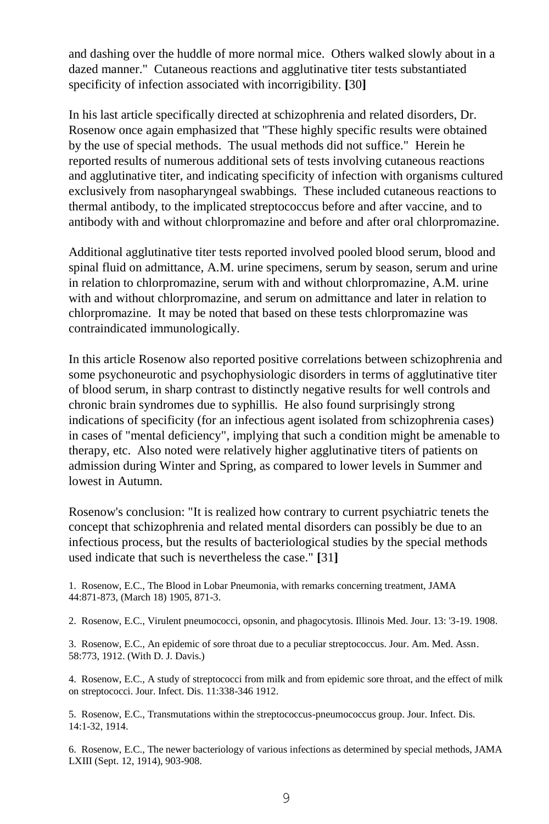and dashing over the huddle of more normal mice. Others walked slowly about in a dazed manner." Cutaneous reactions and agglutinative titer tests substantiated specificity of infection associated with incorrigibility. **[**30**]**

In his last article specifically directed at schizophrenia and related disorders, Dr. Rosenow once again emphasized that "These highly specific results were obtained by the use of special methods. The usual methods did not suffice." Herein he reported results of numerous additional sets of tests involving cutaneous reactions and agglutinative titer, and indicating specificity of infection with organisms cultured exclusively from nasopharyngeal swabbings. These included cutaneous reactions to thermal antibody, to the implicated streptococcus before and after vaccine, and to antibody with and without chlorpromazine and before and after oral chlorpromazine.

Additional agglutinative titer tests reported involved pooled blood serum, blood and spinal fluid on admittance, A.M. urine specimens, serum by season, serum and urine in relation to chlorpromazine, serum with and without chlorpromazine, A.M. urine with and without chlorpromazine, and serum on admittance and later in relation to chlorpromazine. It may be noted that based on these tests chlorpromazine was contraindicated immunologically.

In this article Rosenow also reported positive correlations between schizophrenia and some psychoneurotic and psychophysiologic disorders in terms of agglutinative titer of blood serum, in sharp contrast to distinctly negative results for well controls and chronic brain syndromes due to syphillis. He also found surprisingly strong indications of specificity (for an infectious agent isolated from schizophrenia cases) in cases of "mental deficiency", implying that such a condition might be amenable to therapy, etc. Also noted were relatively higher agglutinative titers of patients on admission during Winter and Spring, as compared to lower levels in Summer and lowest in Autumn.

Rosenow's conclusion: "It is realized how contrary to current psychiatric tenets the concept that schizophrenia and related mental disorders can possibly be due to an infectious process, but the results of bacteriological studies by the special methods used indicate that such is nevertheless the case." **[**31**]**

1. Rosenow, E.C., The Blood in Lobar Pneumonia, with remarks concerning treatment, JAMA 44:871-873, (March 18) 1905, 871-3.

2. Rosenow, E.C., Virulent pneumococci, opsonin, and phagocytosis. Illinois Med. Jour. 13: '3-19. 1908.

3. Rosenow, E.C., An epidemic of sore throat due to a peculiar streptococcus. Jour. Am. Med. Assn. 58:773, 1912. (With D. J. Davis.)

4. Rosenow, E.C., A study of streptococci from milk and from epidemic sore throat, and the effect of milk on streptococci. Jour. Infect. Dis. 11:338-346 1912.

5. Rosenow, E.C., Transmutations within the streptococcus-pneumococcus group. Jour. Infect. Dis. 14:1-32, 1914.

6. Rosenow, E.C., The newer bacteriology of various infections as determined by special methods, JAMA LXIII (Sept. 12, 1914), 903-908.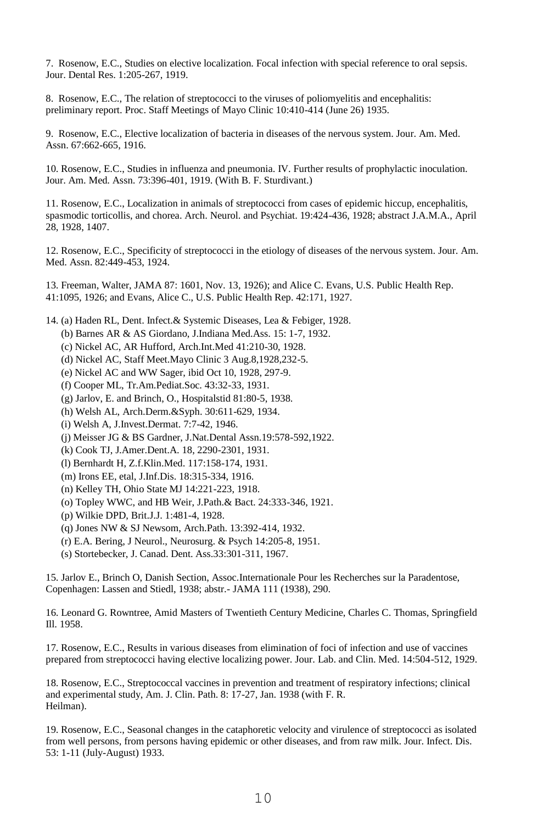7. Rosenow, E.C., Studies on elective localization. Focal infection with special reference to oral sepsis. Jour. Dental Res. 1:205-267, 1919.

8. Rosenow, E.C., The relation of streptococci to the viruses of poliomyelitis and encephalitis: preliminary report. Proc. Staff Meetings of Mayo Clinic 10:410-414 (June 26) 1935.

9. Rosenow, E.C., Elective localization of bacteria in diseases of the nervous system. Jour. Am. Med. Assn. 67:662-665, 1916.

10. Rosenow, E.C., Studies in influenza and pneumonia. IV. Further results of prophylactic inoculation. Jour. Am. Med. Assn. 73:396-401, 1919. (With B. F. Sturdivant.)

11. Rosenow, E.C., Localization in animals of streptococci from cases of epidemic hiccup, encephalitis, spasmodic torticollis, and chorea. Arch. Neurol. and Psychiat. 19:424-436, 1928; abstract J.A.M.A., April 28, 1928, 1407.

12. Rosenow, E.C., Specificity of streptococci in the etiology of diseases of the nervous system. Jour. Am. Med. Assn. 82:449-453, 1924.

13. Freeman, Walter, JAMA 87: 1601, Nov. 13, 1926); and Alice C. Evans, U.S. Public Health Rep. 41:1095, 1926; and Evans, Alice C., U.S. Public Health Rep. 42:171, 1927.

- 14. (a) Haden RL, Dent. Infect.& Systemic Diseases, Lea & Febiger, 1928.
	- (b) Barnes AR & AS Giordano, J.Indiana Med.Ass. 15: 1-7, 1932.
	- (c) Nickel AC, AR Hufford, Arch.Int.Med 41:210-30, 1928.
	- (d) Nickel AC, Staff Meet.Mayo Clinic 3 Aug.8,1928,232-5.
	- (e) Nickel AC and WW Sager, ibid Oct 10, 1928, 297-9.
	- (f) Cooper ML, Tr.Am.Pediat.Soc. 43:32-33, 1931.
	- (g) Jarlov, E. and Brinch, O., Hospitalstid 81:80-5, 1938.
	- (h) Welsh AL, Arch.Derm.&Syph. 30:611-629, 1934.
	- (i) Welsh A, J.Invest.Dermat. 7:7-42, 1946.
	- (j) Meisser JG & BS Gardner, J.Nat.Dental Assn.19:578-592,1922.
	- (k) Cook TJ, J.Amer.Dent.A. 18, 2290-2301, 1931.
	- (l) Bernhardt H, Z.f.Klin.Med. 117:158-174, 1931.
	- (m) Irons EE, etal, J.Inf.Dis. 18:315-334, 1916.
	- (n) Kelley TH, Ohio State MJ 14:221-223, 1918.
	- (o) Topley WWC, and HB Weir, J.Path.& Bact. 24:333-346, 1921.
	- (p) Wilkie DPD, Brit.J.J. 1:481-4, 1928.
	- (q) Jones NW & SJ Newsom, Arch.Path. 13:392-414, 1932.
	- (r) E.A. Bering, J Neurol., Neurosurg. & Psych 14:205-8, 1951.
	- (s) Stortebecker, J. Canad. Dent. Ass.33:301-311, 1967.

15. Jarlov E., Brinch O, Danish Section, Assoc.Internationale Pour les Recherches sur la Paradentose, Copenhagen: Lassen and Stiedl, 1938; abstr.- JAMA 111 (1938), 290.

16. Leonard G. Rowntree, Amid Masters of Twentieth Century Medicine, Charles C. Thomas, Springfield Ill. 1958.

17. Rosenow, E.C., Results in various diseases from elimination of foci of infection and use of vaccines prepared from streptococci having elective localizing power. Jour. Lab. and Clin. Med. 14:504-512, 1929.

18. Rosenow, E.C., Streptococcal vaccines in prevention and treatment of respiratory infections; clinical and experimental study, Am. J. Clin. Path. 8: 17-27, Jan. 1938 (with F. R. Heilman).

19. Rosenow, E.C., Seasonal changes in the cataphoretic velocity and virulence of streptococci as isolated from well persons, from persons having epidemic or other diseases, and from raw milk. Jour. Infect. Dis. 53: 1-11 (July-August) 1933.